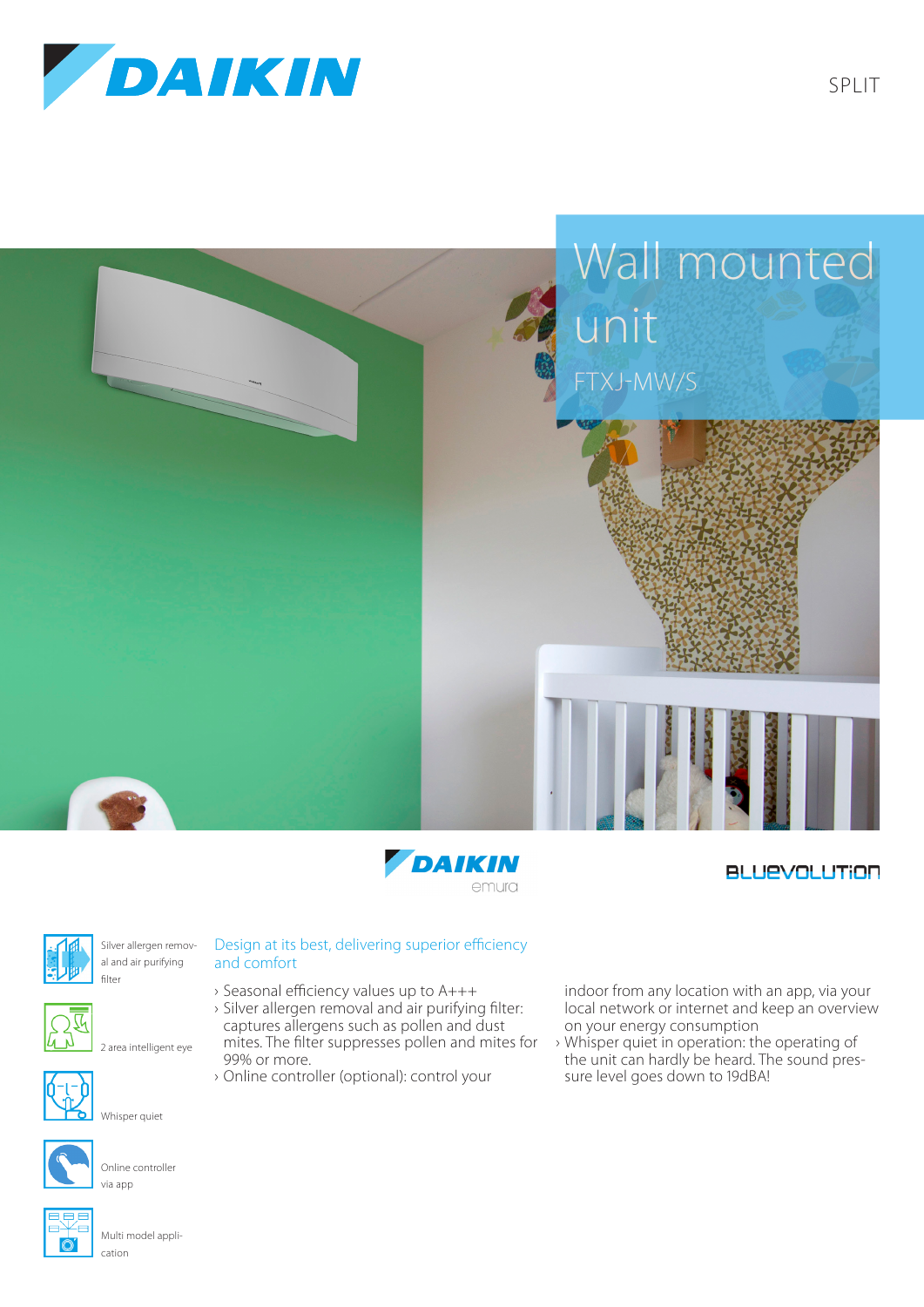





## **BLUEVOLUTION**



Silver allergen removal and air purifying filter



2 area intelligent eye



Whisper quiet



Online controller via app



Multi model application

## Design at its best, delivering superior efficiency and comfort

- › Seasonal efficiency values up to A+++
- › Silver allergen removal and air purifying filter: captures allergens such as pollen and dust mites. The filter suppresses pollen and mites for 99% or more.
- › Online controller (optional): control your

indoor from any location with an app, via your local network or internet and keep an overview on your energy consumption

› Whisper quiet in operation: the operating of the unit can hardly be heard. The sound pressure level goes down to 19dBA!